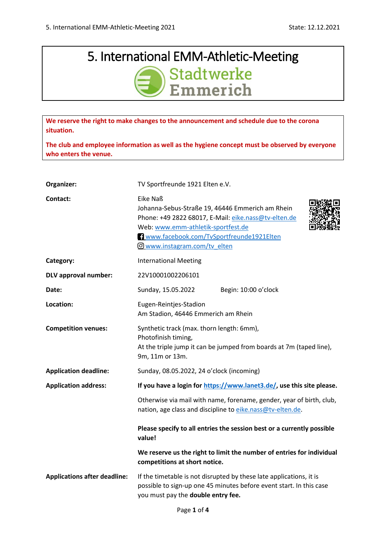## 5. International EMM-Athletic-Meeting  $\zeta$  $\frac{1}{2}$

**We reserve the right to make changes to the announcement and schedule due to the corona situation.**

**The club and employee information as well as the hygiene concept must be observed by everyone who enters the venue.**

| Organizer:                          | TV Sportfreunde 1921 Elten e.V.                                                                                                                                                                                                        |  |  |  |  |  |
|-------------------------------------|----------------------------------------------------------------------------------------------------------------------------------------------------------------------------------------------------------------------------------------|--|--|--|--|--|
| Contact:                            | Eike Naß<br>Johanna-Sebus-Straße 19, 46446 Emmerich am Rhein<br>Phone: +49 2822 68017, E-Mail: eike.nass@tv-elten.de<br>Web: www.emm-athletik-sportfest.de<br>Www.facebook.com/TvSportfreunde1921Elten<br>O www.instagram.com/tv elten |  |  |  |  |  |
| Category:                           | <b>International Meeting</b>                                                                                                                                                                                                           |  |  |  |  |  |
| <b>DLV</b> approval number:         | 22V10001002206101                                                                                                                                                                                                                      |  |  |  |  |  |
| Date:                               | Sunday, 15.05.2022<br>Begin: 10:00 o'clock                                                                                                                                                                                             |  |  |  |  |  |
| Location:                           | Eugen-Reintjes-Stadion<br>Am Stadion, 46446 Emmerich am Rhein                                                                                                                                                                          |  |  |  |  |  |
| <b>Competition venues:</b>          | Synthetic track (max. thorn length: 6mm),<br>Photofinish timing,<br>At the triple jump it can be jumped from boards at 7m (taped line),<br>9m, 11m or 13m.                                                                             |  |  |  |  |  |
| <b>Application deadline:</b>        | Sunday, 08.05.2022, 24 o'clock (incoming)                                                                                                                                                                                              |  |  |  |  |  |
| <b>Application address:</b>         | If you have a login for https://www.lanet3.de/, use this site please.                                                                                                                                                                  |  |  |  |  |  |
|                                     | Otherwise via mail with name, forename, gender, year of birth, club,<br>nation, age class and discipline to eike.nass@tv-elten.de.                                                                                                     |  |  |  |  |  |
|                                     | Please specify to all entries the session best or a currently possible<br>value!                                                                                                                                                       |  |  |  |  |  |
|                                     | We reserve us the right to limit the number of entries for individual<br>competitions at short notice.                                                                                                                                 |  |  |  |  |  |
| <b>Applications after deadline:</b> | If the timetable is not disrupted by these late applications, it is<br>possible to sign-up one 45 minutes before event start. In this case<br>you must pay the double entry fee.                                                       |  |  |  |  |  |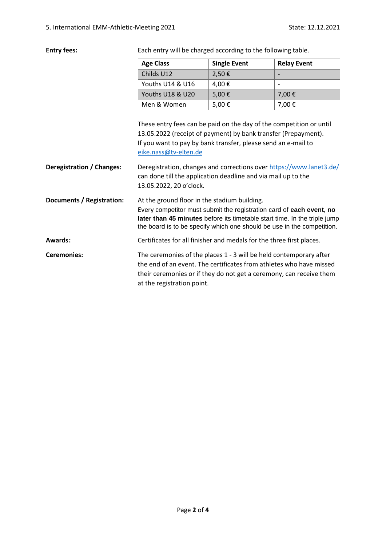Entry fees: Each entry will be charged according to the following table.

|                           | <b>Single Event</b><br><b>Age Class</b>                                                                                                                                                                                                                                     |                                                                      | <b>Relay Event</b>       |  |  |  |  |
|---------------------------|-----------------------------------------------------------------------------------------------------------------------------------------------------------------------------------------------------------------------------------------------------------------------------|----------------------------------------------------------------------|--------------------------|--|--|--|--|
|                           | Childs U12                                                                                                                                                                                                                                                                  | 2,50€                                                                |                          |  |  |  |  |
|                           | Youths U14 & U16                                                                                                                                                                                                                                                            | 4,00€                                                                | $\overline{\phantom{a}}$ |  |  |  |  |
|                           | Youths U18 & U20                                                                                                                                                                                                                                                            | 5,00€                                                                | 7,00€                    |  |  |  |  |
|                           | Men & Women                                                                                                                                                                                                                                                                 | 7,00€                                                                |                          |  |  |  |  |
|                           | These entry fees can be paid on the day of the competition or until<br>13.05.2022 (receipt of payment) by bank transfer (Prepayment).<br>If you want to pay by bank transfer, please send an e-mail to<br>eike.nass@tv-elten.de                                             |                                                                      |                          |  |  |  |  |
| Deregistration / Changes: | Deregistration, changes and corrections over https://www.lanet3.de/<br>can done till the application deadline and via mail up to the<br>13.05.2022, 20 o'clock.                                                                                                             |                                                                      |                          |  |  |  |  |
| Documents / Registration: | At the ground floor in the stadium building.<br>Every competitor must submit the registration card of each event, no<br>later than 45 minutes before its timetable start time. In the triple jump<br>the board is to be specify which one should be use in the competition. |                                                                      |                          |  |  |  |  |
| Awards:                   |                                                                                                                                                                                                                                                                             | Certificates for all finisher and medals for the three first places. |                          |  |  |  |  |
| Ceremonies:               | The ceremonies of the places 1 - 3 will be held contemporary after<br>the end of an event The certificates from athletes who have missed                                                                                                                                    |                                                                      |                          |  |  |  |  |

the end of an event. The certificates from athletes who have missed their ceremonies or if they do not get a ceremony, can receive them at the registration point.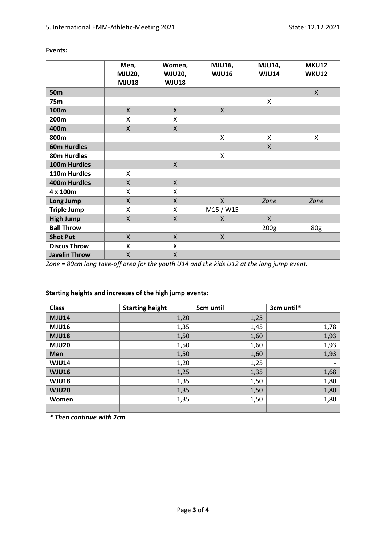|                      | Men,          | Women,             | <b>MJU16,</b> | <b>MJU14,</b>    | <b>MKU12</b> |
|----------------------|---------------|--------------------|---------------|------------------|--------------|
|                      | <b>MJU20,</b> | <b>WJU20,</b>      | <b>WJU16</b>  | <b>WJU14</b>     | <b>WKU12</b> |
|                      | <b>MJU18</b>  | <b>WJU18</b>       |               |                  |              |
| <b>50m</b>           |               |                    |               |                  | X            |
| 75m                  |               |                    |               | X                |              |
| 100m                 | $\mathsf{X}$  | X                  | X             |                  |              |
| 200m                 | Χ             | X                  |               |                  |              |
| 400m                 | X             | X                  |               |                  |              |
| 800m                 |               |                    | Χ             | $\pmb{\times}$   | Χ            |
| <b>60m Hurdles</b>   |               |                    |               | $\mathsf{X}$     |              |
| 80m Hurdles          |               |                    | X             |                  |              |
| 100m Hurdles         |               | $\mathsf{X}$       |               |                  |              |
| 110m Hurdles         | X.            |                    |               |                  |              |
| 400m Hurdles         | X             | $\mathsf{X}$       |               |                  |              |
| 4 x 100m             | X             | Χ                  |               |                  |              |
| Long Jump            | X             | X                  | $\mathsf{X}$  | Zone             | Zone         |
| <b>Triple Jump</b>   | X             | X                  | M15 / W15     |                  |              |
| <b>High Jump</b>     | X             | X                  | X             | $\mathsf{X}$     |              |
| <b>Ball Throw</b>    |               |                    |               | 200 <sub>g</sub> | 80g          |
| <b>Shot Put</b>      | X             | X                  | X             |                  |              |
| <b>Discus Throw</b>  | Χ             | X                  |               |                  |              |
| <b>Javelin Throw</b> | X             | $\mathsf{X}% _{0}$ |               |                  |              |

## **Events:**

*Zone = 80cm long take-off area for the youth U14 and the kids U12 at the long jump event.*

| <b>Class</b>             | <b>Starting height</b> | 5cm until | 3cm until* |  |  |  |  |  |
|--------------------------|------------------------|-----------|------------|--|--|--|--|--|
| <b>MJU14</b>             | 1,20                   | 1,25      |            |  |  |  |  |  |
| <b>MJU16</b>             | 1,35                   | 1,45      | 1,78       |  |  |  |  |  |
| <b>MJU18</b>             | 1,50                   | 1,60      | 1,93       |  |  |  |  |  |
| <b>MJU20</b>             | 1,50                   | 1,60      | 1,93       |  |  |  |  |  |
| Men                      | 1,50                   | 1,60      | 1,93       |  |  |  |  |  |
| <b>WJU14</b>             | 1,20                   | 1,25      |            |  |  |  |  |  |
| <b>WJU16</b>             | 1,25                   | 1,35      | 1,68       |  |  |  |  |  |
| <b>WJU18</b>             | 1,35                   | 1,50      | 1,80       |  |  |  |  |  |
| <b>WJU20</b>             | 1,35                   | 1,50      | 1,80       |  |  |  |  |  |
| Women                    | 1,35                   | 1,50      | 1,80       |  |  |  |  |  |
|                          |                        |           |            |  |  |  |  |  |
| * Then continue with 2cm |                        |           |            |  |  |  |  |  |

## **Starting heights and increases of the high jump events:**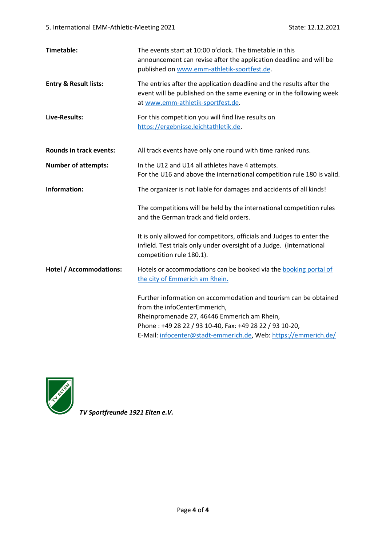| <b>Timetable:</b>                | The events start at 10:00 o'clock. The timetable in this<br>announcement can revise after the application deadline and will be<br>published on www.emm-athletik-sportfest.de.                                                                                                 |
|----------------------------------|-------------------------------------------------------------------------------------------------------------------------------------------------------------------------------------------------------------------------------------------------------------------------------|
| <b>Entry &amp; Result lists:</b> | The entries after the application deadline and the results after the<br>event will be published on the same evening or in the following week<br>at www.emm-athletik-sportfest.de.                                                                                             |
| Live-Results:                    | For this competition you will find live results on<br>https://ergebnisse.leichtathletik.de.                                                                                                                                                                                   |
| <b>Rounds in track events:</b>   | All track events have only one round with time ranked runs.                                                                                                                                                                                                                   |
| <b>Number of attempts:</b>       | In the U12 and U14 all athletes have 4 attempts.<br>For the U16 and above the international competition rule 180 is valid.                                                                                                                                                    |
| Information:                     | The organizer is not liable for damages and accidents of all kinds!                                                                                                                                                                                                           |
|                                  | The competitions will be held by the international competition rules<br>and the German track and field orders.                                                                                                                                                                |
|                                  | It is only allowed for competitors, officials and Judges to enter the<br>infield. Test trials only under oversight of a Judge. (International<br>competition rule 180.1).                                                                                                     |
| <b>Hotel / Accommodations:</b>   | Hotels or accommodations can be booked via the booking portal of<br>the city of Emmerich am Rhein.                                                                                                                                                                            |
|                                  | Further information on accommodation and tourism can be obtained<br>from the infoCenterEmmerich,<br>Rheinpromenade 27, 46446 Emmerich am Rhein,<br>Phone: +49 28 22 / 93 10-40, Fax: +49 28 22 / 93 10-20,<br>E-Mail: infocenter@stadt-emmerich.de, Web: https://emmerich.de/ |



*TV Sportfreunde 1921 Elten e.V.*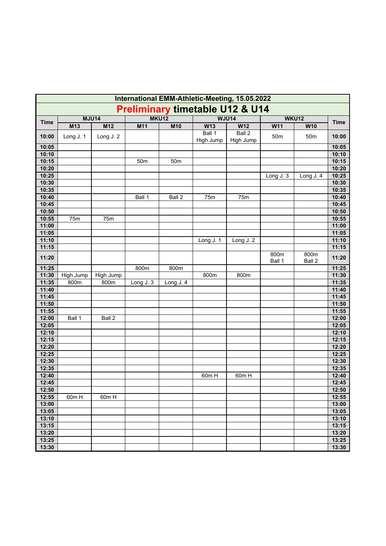| International EMM-Athletic-Meeting, 15.05.2022 |              |           |                 |                 |                     |                     |                |                |                |
|------------------------------------------------|--------------|-----------|-----------------|-----------------|---------------------|---------------------|----------------|----------------|----------------|
| <b>Preliminary timetable U12 &amp; U14</b>     |              |           |                 |                 |                     |                     |                |                |                |
| <b>Time</b>                                    | <b>MJU14</b> |           | <b>MKU12</b>    |                 |                     | <b>WJU14</b>        | <b>WKU12</b>   | <b>Time</b>    |                |
|                                                | M13          | M12       | M11             | M10             | W13                 | W12                 | W11            | W10            |                |
| 10:00                                          | Long J. 1    | Long J. 2 |                 |                 | Ball 1<br>High Jump | Ball 2<br>High Jump | 50m            | 50m            | 10:00          |
| 10:05                                          |              |           |                 |                 |                     |                     |                |                | 10:05          |
| 10:10                                          |              |           |                 |                 |                     |                     |                |                | 10:10          |
| 10:15                                          |              |           | 50 <sub>m</sub> | 50 <sub>m</sub> |                     |                     |                |                | 10:15          |
| 10:20                                          |              |           |                 |                 |                     |                     |                |                | 10:20          |
| 10:25                                          |              |           |                 |                 |                     |                     | Long J. 3      | Long J. 4      | 10:25          |
| 10:30                                          |              |           |                 |                 |                     |                     |                |                | 10:30          |
| 10:35<br>10:40                                 |              |           |                 |                 |                     |                     |                |                | 10:35<br>10:40 |
| 10:45                                          |              |           | Ball 1          | Ball 2          | 75m                 | 75m                 |                |                | 10:45          |
| 10:50                                          |              |           |                 |                 |                     |                     |                |                | 10:50          |
| 10:55                                          | 75m          | 75m       |                 |                 |                     |                     |                |                | 10:55          |
| 11:00                                          |              |           |                 |                 |                     |                     |                |                | 11:00          |
| 11:05                                          |              |           |                 |                 |                     |                     |                |                | 11:05          |
| 11:10                                          |              |           |                 |                 | Long J. 1           | Long J. 2           |                |                | 11:10          |
| 11:15                                          |              |           |                 |                 |                     |                     |                |                | 11:15          |
| 11:20                                          |              |           |                 |                 |                     |                     | 800m<br>Ball 1 | 800m<br>Ball 2 | 11:20          |
| 11:25                                          |              |           | 800m            | 800m            |                     |                     |                |                | 11:25          |
| 11:30                                          | High Jump    | High Jump |                 |                 | 800m                | 800m                |                |                | 11:30          |
| 11:35                                          | 800m         | 800m      | Long J. 3       | Long J. 4       |                     |                     |                |                | 11:35          |
| 11:40                                          |              |           |                 |                 |                     |                     |                |                | 11:40          |
| 11:45                                          |              |           |                 |                 |                     |                     |                |                | 11:45          |
| 11:50                                          |              |           |                 |                 |                     |                     |                |                | 11:50          |
| 11:55                                          |              |           |                 |                 |                     |                     |                |                | 11:55          |
| 12:00                                          | Ball 1       | Ball 2    |                 |                 |                     |                     |                |                | 12:00          |
| 12:05                                          |              |           |                 |                 |                     |                     |                |                | 12:05          |
| 12:10                                          |              |           |                 |                 |                     |                     |                |                | 12:10          |
| 12:15                                          |              |           |                 |                 |                     |                     |                |                | 12:15          |
| 12:20<br>12:25                                 |              |           |                 |                 |                     |                     |                |                | 12:20<br>12:25 |
| 12:30                                          |              |           |                 |                 |                     |                     |                |                | 12:30          |
| 12:35                                          |              |           |                 |                 |                     |                     |                |                | 12:35          |
| 12:40                                          |              |           |                 |                 | 60m H               | 60m H               |                |                | 12:40          |
| 12:45                                          |              |           |                 |                 |                     |                     |                |                | 12:45          |
| 12:50                                          |              |           |                 |                 |                     |                     |                |                | 12:50          |
| 12:55                                          | 60m H        | 60m H     |                 |                 |                     |                     |                |                | 12:55          |
| 13:00                                          |              |           |                 |                 |                     |                     |                |                | 13:00          |
| 13:05                                          |              |           |                 |                 |                     |                     |                |                | 13:05          |
| 13:10                                          |              |           |                 |                 |                     |                     |                |                | 13:10          |
| 13:15                                          |              |           |                 |                 |                     |                     |                |                | 13:15          |
| 13:20                                          |              |           |                 |                 |                     |                     |                |                | 13:20          |
| 13:25                                          |              |           |                 |                 |                     |                     |                |                | 13:25          |
| 13:30                                          |              |           |                 |                 |                     |                     |                |                | 13:30          |